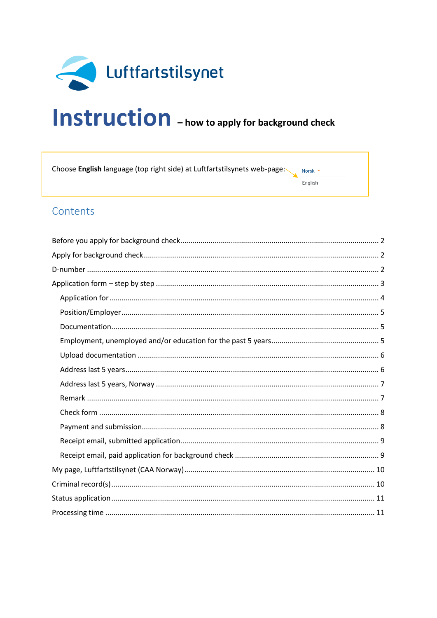

# Instruction - how to apply for background check

Choose English language (top right side) at Luftfartstilsynets web-page: Norsk -

#### English

# Contents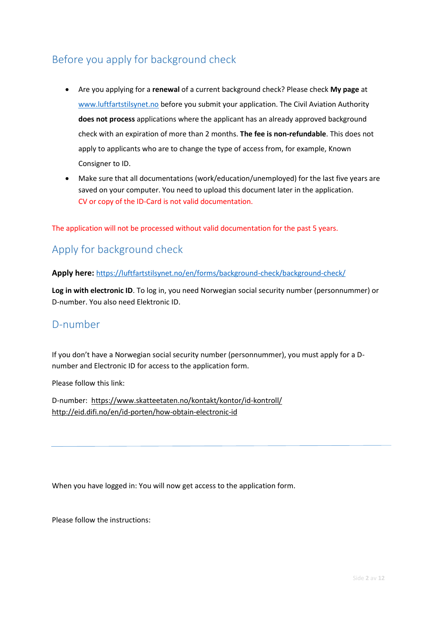# <span id="page-1-0"></span>Before you apply for background check

- Are you applying for a **renewal** of a current background check? Please check **My page** at [www.luftfartstilsynet.no](http://www.luftfartstilsynet.no/) before you submit your application. The Civil Aviation Authority **does not process** applications where the applicant has an already approved background check with an expiration of more than 2 months. **The fee is non-refundable**. This does not apply to applicants who are to change the type of access from, for example, Known Consigner to ID.
- Make sure that all documentations (work/education/unemployed) for the last five years are saved on your computer. You need to upload this document later in the application. CV or copy of the ID-Card is not valid documentation.

The application will not be processed without valid documentation for the past 5 years.

# <span id="page-1-1"></span>Apply for background check

Apply here: <https://luftfartstilsynet.no/en/forms/background-check/background-check/>

**Log in with electronic ID**. To log in, you need Norwegian social security number (personnummer) or D-number. You also need Elektronic ID.

# <span id="page-1-2"></span>D-number

If you don't have a Norwegian social security number (personnummer), you must apply for a Dnumber and Electronic ID for access to the application form.

Please follow this link:

D-number: <https://www.skatteetaten.no/kontakt/kontor/id-kontroll/> <http://eid.difi.no/en/id-porten/how-obtain-electronic-id>

When you have logged in: You will now get access to the application form.

Please follow the instructions: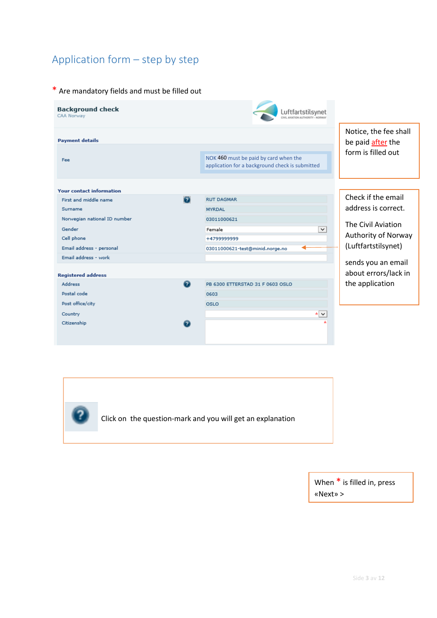# <span id="page-2-0"></span>Application form – step by step

#### \* Are mandatory fields and must be filled out





When \* is filled in, press «Next» >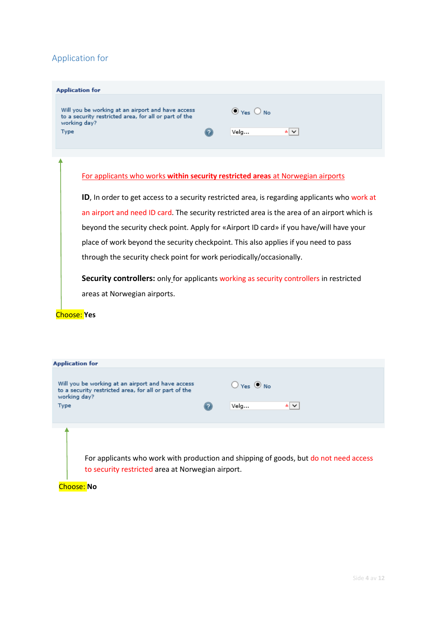## <span id="page-3-0"></span>Application for

| <b>Application for</b>                                                                                                             |                                   |                |
|------------------------------------------------------------------------------------------------------------------------------------|-----------------------------------|----------------|
| Will you be working at an airport and have access<br>to a security restricted area, for all or part of the<br>working day?<br>Type | $\odot$ Yes $\bigcirc$ No<br>Velg | $\star$ $\vee$ |

#### For applicants who works **within security restricted areas** at Norwegian airports

**ID**, In order to get access to a security restricted area, is regarding applicants who work at an airport and need ID card. The security restricted area is the area of an airport which is beyond the security check point. Apply for «Airport ID card» if you have/will have your place of work beyond the security checkpoint. This also applies if you need to pass through the security check point for work periodically/occasionally.

**Security controllers:** only for applicants working as security controllers in restricted areas at Norwegian airports.

#### Choose: **Yes**

| <b>Application for</b>                                                                                                     |  |                              |  |  |
|----------------------------------------------------------------------------------------------------------------------------|--|------------------------------|--|--|
|                                                                                                                            |  |                              |  |  |
| Will you be working at an airport and have access<br>to a security restricted area, for all or part of the<br>working day? |  | $\bigcirc$ Yes $\bigcirc$ No |  |  |
| Type                                                                                                                       |  | Velg<br>∗∣∨                  |  |  |
|                                                                                                                            |  |                              |  |  |
|                                                                                                                            |  |                              |  |  |
|                                                                                                                            |  |                              |  |  |
|                                                                                                                            |  |                              |  |  |
| For applicants who work with production and shipping of goods, but do not need access                                      |  |                              |  |  |
| to security restricted area at Norwegian airport.                                                                          |  |                              |  |  |
|                                                                                                                            |  |                              |  |  |

Choose: **No**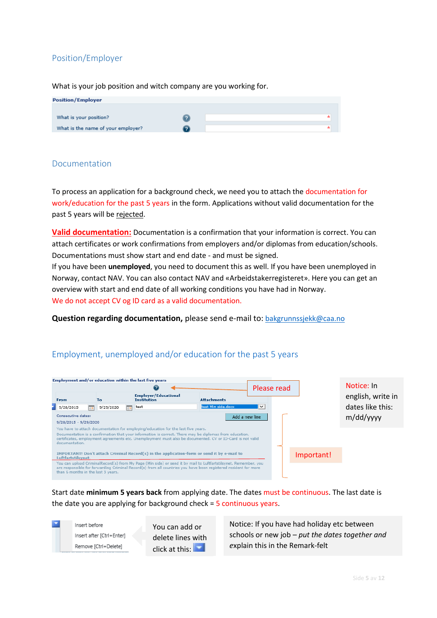## <span id="page-4-0"></span>Position/Employer

What is your job position and witch company are you working for.

| <b>Position/Employer</b>           |  |
|------------------------------------|--|
|                                    |  |
| What is your position?             |  |
| What is the name of your employer? |  |

#### <span id="page-4-1"></span>Documentation

To process an application for a background check, we need you to attach the documentation for work/education for the past 5 years in the form. Applications without valid documentation for the past 5 years will be rejected.

**Valid documentation:** Documentation is a confirmation that your information is correct. You can attach certificates or work confirmations from employers and/or diplomas from education/schools. Documentations must show start and end date - and must be signed.

If you have been **unemployed**, you need to document this as well. If you have been unemployed in Norway, contact NAV. You can also contact NAV and «Arbeidstakerregisteret». Here you can get an overview with start and end date of all working conditions you have had in Norway. We do not accept CV og ID card as a valid documentation.

**Question regarding documentation,** please send e-mail to: [bakgrunnssjekk@caa.no](mailto:bakgrunnssjekk@caa.no)

## <span id="page-4-2"></span>Employment, unemployed and/or education for the past 5 years

| Employment and/or education within the last five years                                                                                                                                                                                                                                                                      |                |                                                                                                                                                                                                                                    |                    |             |            |                   |
|-----------------------------------------------------------------------------------------------------------------------------------------------------------------------------------------------------------------------------------------------------------------------------------------------------------------------------|----------------|------------------------------------------------------------------------------------------------------------------------------------------------------------------------------------------------------------------------------------|--------------------|-------------|------------|-------------------|
| Please read                                                                                                                                                                                                                                                                                                                 |                |                                                                                                                                                                                                                                    |                    |             | Notice: In |                   |
| <b>From</b>                                                                                                                                                                                                                                                                                                                 | To:            | <b>Employer/Educational</b><br><b>Institution</b>                                                                                                                                                                                  | <b>Attachments</b> |             |            | english, write in |
| 9/28/2015<br>⊞e                                                                                                                                                                                                                                                                                                             | 9/29/2020<br>画 | test                                                                                                                                                                                                                               | test Min side.docx | $\check{ }$ |            | dates like this:  |
| Consecutive dates:<br>$9/28/2015 - 9/29/2020$                                                                                                                                                                                                                                                                               |                |                                                                                                                                                                                                                                    | Add a new line     |             |            | m/dd/yyyy         |
| You have to attach documentation for employing/education for the last five years.<br>Documentation is a confirmation that your information is correct. There may be diplomas from education,<br>certificates, employment agreements etc. Unemployment must also be documented. CV or ID-Card is not valid<br>documentation. |                |                                                                                                                                                                                                                                    |                    |             |            |                   |
| Luftfartstilsynet.                                                                                                                                                                                                                                                                                                          |                | IMPORTANT! Don't attach Criminal Record(s) in the application-form or send it by e-mail to                                                                                                                                         |                    |             | Important! |                   |
| than 6 months in the last 5 years.                                                                                                                                                                                                                                                                                          |                | You can upload CriminalRecord(s) from My Page (Min side) or send it by mail to Luftfartstilsynet. Remember, you<br>are responsible for forwarding Criminal Record(s) from all countries you have been registered resident for more |                    |             |            |                   |

Start date **minimum 5 years back** from applying date. The dates must be continuous. The last date is the date you are applying for background check = 5 continuous years.



You can add or delete lines with click at this:

Notice: If you have had holiday etc between schools or new job – *put the dates together and e*xplain this in the Remark-felt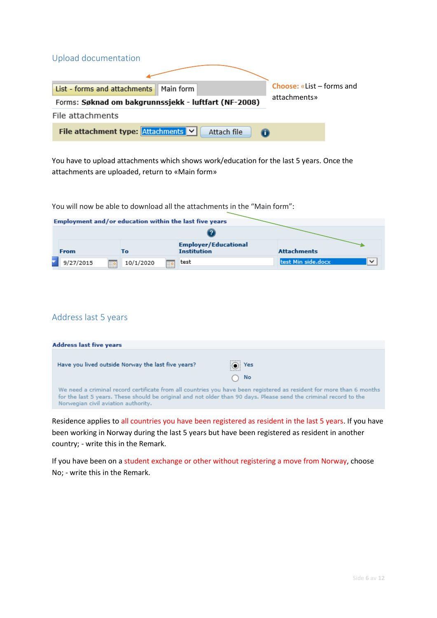<span id="page-5-0"></span>

| Upload documentation                                                 |                                  |  |  |  |
|----------------------------------------------------------------------|----------------------------------|--|--|--|
|                                                                      | <b>Choose: «List – forms and</b> |  |  |  |
| List - forms and attachments<br>$\parallel$ Main form                |                                  |  |  |  |
| attachments»<br>Forms: Søknad om bakgrunnssjekk - luftfart (NF-2008) |                                  |  |  |  |
| File attachments                                                     |                                  |  |  |  |
| File attachment type: Attachments V<br>Attach file                   |                                  |  |  |  |

You have to upload attachments which shows work/education for the last 5 years. Once the attachments are uploaded, return to «Main form»

You will now be able to download all the attachments in the "Main form":

|  | Employment and/or education within the last five years |                |                                                   |                                    |  |  |
|--|--------------------------------------------------------|----------------|---------------------------------------------------|------------------------------------|--|--|
|  |                                                        |                |                                                   |                                    |  |  |
|  | <b>From</b>                                            | Тο             | <b>Employer/Educational</b><br><b>Institution</b> | <b>Attachments</b>                 |  |  |
|  | 9/27/2015<br><u>ile</u>                                | 10/1/2020<br>脚 | test                                              | test Min side.docx<br>$\checkmark$ |  |  |

## <span id="page-5-1"></span>Address last 5 years

| <b>Address last five years</b>                                                                                                                           |                                                                                                                      |  |  |  |
|----------------------------------------------------------------------------------------------------------------------------------------------------------|----------------------------------------------------------------------------------------------------------------------|--|--|--|
| Have you lived outside Norway the last five years?                                                                                                       | $\circ$ Yes<br>No<br>( )                                                                                             |  |  |  |
| for the last 5 years. These should be original and not older than 90 days. Please send the criminal record to the<br>Norwegian civil aviation authority. | We need a criminal record certificate from all countries you have been registered as resident for more than 6 months |  |  |  |

Residence applies to all countries you have been registered as resident in the last 5 years. If you have been working in Norway during the last 5 years but have been registered as resident in another country; - write this in the Remark.

If you have been on a student exchange or other without registering a move from Norway, choose No; - write this in the Remark.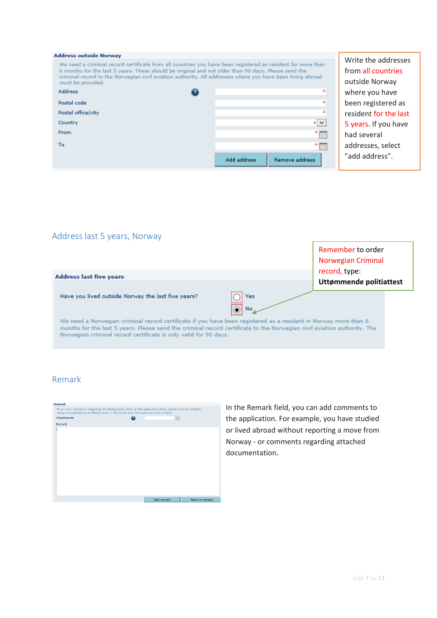| <b>Address outside Norway</b>                                                                                                                                                                                                                                                                                                                         |                               |                |
|-------------------------------------------------------------------------------------------------------------------------------------------------------------------------------------------------------------------------------------------------------------------------------------------------------------------------------------------------------|-------------------------------|----------------|
| We need a criminal record certificate from all countries you have been registered as resident for more than<br>6 months for the last 5 years. These should be original and not older than 90 days. Please send the<br>criminal record to the Norwegian civil aviation authority. All addresses where you have been living abroad<br>must be provided. |                               | W<br>fro<br>οı |
| <b>Address</b>                                                                                                                                                                                                                                                                                                                                        | sk.                           | wl             |
| Postal code                                                                                                                                                                                                                                                                                                                                           | sk.                           | be             |
| Postal office/city                                                                                                                                                                                                                                                                                                                                    | ÷                             | re             |
| Country                                                                                                                                                                                                                                                                                                                                               | ∗∨                            | 5۰             |
| From                                                                                                                                                                                                                                                                                                                                                  | æ                             | ha             |
| To                                                                                                                                                                                                                                                                                                                                                    | * p                           | ac             |
|                                                                                                                                                                                                                                                                                                                                                       | Add address<br>Remove address | "a             |

rite the addresses om all countries utside Norway here you have een registered as sident for the last years. If you have ad several ddresses, select dd address".

## <span id="page-6-0"></span>Address last 5 years, Norway

| <b>Address last five years</b>                                                                                                                                                                                                                                                                                 | Remember to order<br>Norwegian Criminal<br>record, type: |  |  |
|----------------------------------------------------------------------------------------------------------------------------------------------------------------------------------------------------------------------------------------------------------------------------------------------------------------|----------------------------------------------------------|--|--|
| Have you lived outside Norway the last five years?<br>Yes<br>ōi<br>No                                                                                                                                                                                                                                          | Uttømmende politiattest                                  |  |  |
| We need a Norwegian criminal record certificate if you have been registered as a resident in Norway more than 6<br>months for the last 5 years. Please send the criminal record certificate to the Norwegian civil aviation authority. The<br>Norwegian criminal record certificate is only valid for 90 days. |                                                          |  |  |

## <span id="page-6-1"></span>Remark



In the Remark field, you can add comments to the application. For example, you have studied or lived abroad without reporting a move from Norway - or comments regarding attached documentation.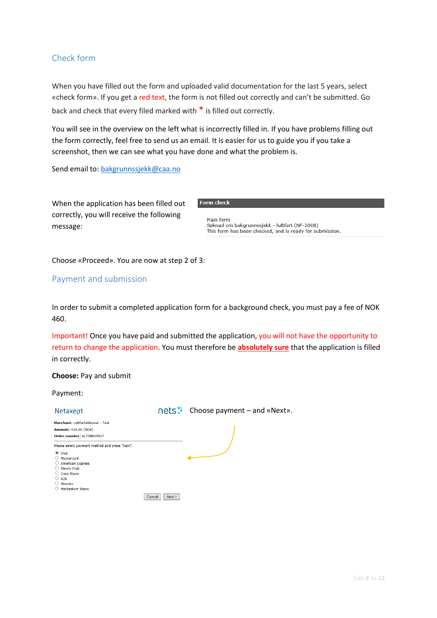## <span id="page-7-0"></span>Check form

When you have filled out the form and uploaded valid documentation for the last 5 years, select «check form». If you get a red text, the form is not filled out correctly and can't be submitted. Go back and check that every filed marked with \* is filled out correctly.

You will see in the overview on the left what is incorrectly filled in. If you have problems filling out the form correctly, feel free to send us an email. It is easier for us to guide you if you take a screenshot, then we can see what you have done and what the problem is.

Send email to: [bakgrunnssjekk@caa.no](mailto:bakgrunnssjekk@caa.no)

| When the application has been filled out  |
|-------------------------------------------|
| correctly, you will receive the following |
| message:                                  |

**Form check** 

Main form riam rom<br>Søknad om bakgrunnssjekk - luftfart (NF-2008)<br>This form has been checked, and is ready for submission.

Choose «Proceed». You are now at step 2 of 3:

#### <span id="page-7-1"></span>Payment and submission

In order to submit a completed application form for a background check, you must pay a fee of NOK 460.

Important! Once you have paid and submitted the application, you will not have the opportunity to return to change the application. You must therefore be **absolutely sure** that the application is filled in correctly.

#### **Choose:** Pay and submit

#### Payment:

| Netaxept                                                                                                                                                                                              |                    | nets: Choose payment – and «Next». |
|-------------------------------------------------------------------------------------------------------------------------------------------------------------------------------------------------------|--------------------|------------------------------------|
| Merchant: Luftfartstilsynet - Test<br><b>Amount: 430,00 (NOK)</b><br>Order number: ALTINN19927                                                                                                        |                    |                                    |
| Please select payment method and press "Next".<br>$\bullet$ Visa<br>Mastercard<br>( )<br>○ American Express<br>Diners Club<br>Ω<br>Coop Ikano<br>$\bigcirc$ JCB<br>Maestro<br>( )<br>Märkeskort Ikano | Cancel<br>Next<br> |                                    |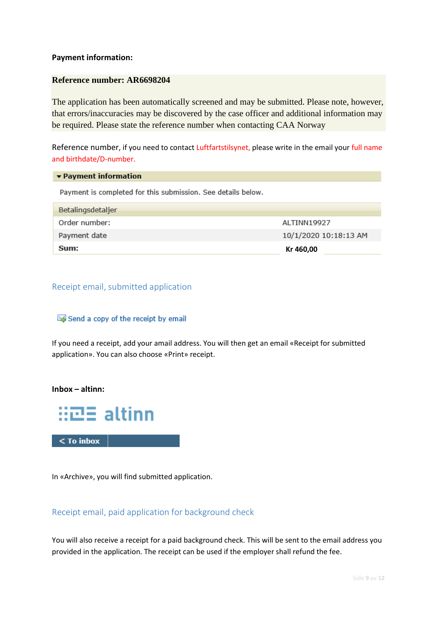#### **Payment information:**

#### **Reference number: AR6698204**

The application has been automatically screened and may be submitted. Please note, however, that errors/inaccuracies may be discovered by the case officer and additional information may be required. Please state the reference number when contacting CAA Norway

Reference number, if you need to contact Luftfartstilsynet, please write in the email your full name and birthdate/D-number.

#### ▼ Payment information

Payment is completed for this submission. See details below.

| Betalingsdetaljer |                       |
|-------------------|-----------------------|
| Order number:     | ALTINN19927           |
| Payment date      | 10/1/2020 10:18:13 AM |
| Sum:              | Kr 460,00             |

#### <span id="page-8-0"></span>Receipt email, submitted application

#### Send a copy of the receipt by email

If you need a receipt, add your amail address. You will then get an email «Receipt for submitted application». You can also choose «Print» receipt.

#### **Inbox – altinn:**



In «Archive», you will find submitted application.

#### <span id="page-8-1"></span>Receipt email, paid application for background check

You will also receive a receipt for a paid background check. This will be sent to the email address you provided in the application. The receipt can be used if the employer shall refund the fee.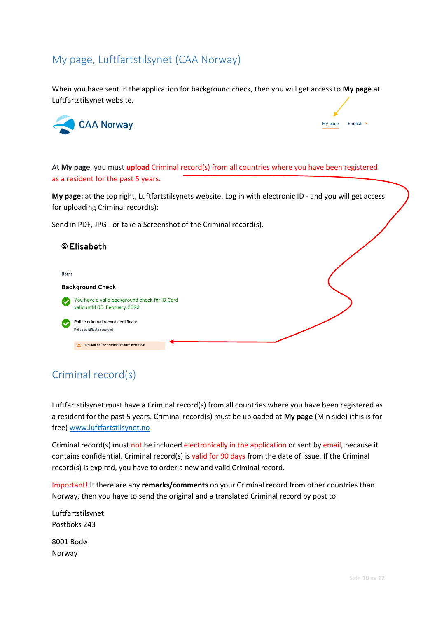# <span id="page-9-0"></span>My page, Luftfartstilsynet (CAA Norway)

When you have sent in the application for background check, then you will get access to **My page** at Luftfartstilsynet website.



My page English \*

At **My page**, you must **upload** Criminal record(s) from all countries where you have been registered as a resident for the past 5 years.

**My page:** at the top right, Luftfartstilsynets website. Log in with electronic ID - and you will get access for uploading Criminal record(s):

Send in PDF, JPG - or take a Screenshot of the Criminal record(s).

| <sup>®</sup> Elisabeth                                                         |  |
|--------------------------------------------------------------------------------|--|
|                                                                                |  |
| Born:<br><b>Background Check</b>                                               |  |
| You have a valid background check for ID Card<br>valid until 05. February 2023 |  |
| Police criminal record certificate<br>Police certificate received              |  |
| Upload police criminal record certificat<br>土                                  |  |

# <span id="page-9-1"></span>Criminal record(s)

Luftfartstilsynet must have a Criminal record(s) from all countries where you have been registered as a resident for the past 5 years. Criminal record(s) must be uploaded at **My page** (Min side) (this is for free) [www.luftfartstilsynet.no](http://www.luftfartstilsynet.no/)

Criminal record(s) must not be included electronically in the application or sent by email, because it contains confidential. Criminal record(s) is valid for 90 days from the date of issue. If the Criminal record(s) is expired, you have to order a new and valid Criminal record.

Important! If there are any **remarks/comments** on your Criminal record from other countries than Norway, then you have to send the original and a translated Criminal record by post to:

Luftfartstilsynet Postboks 243

8001 Bodø Norway